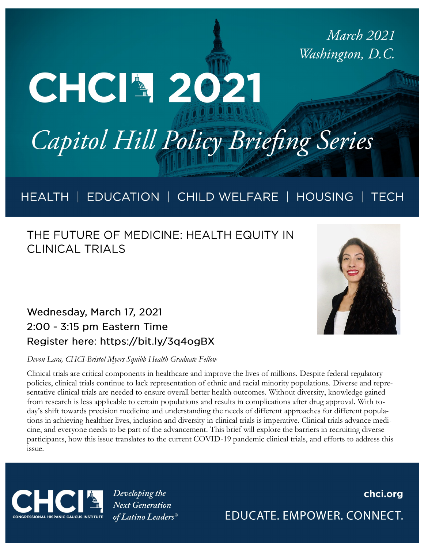**March 2021** Washington, D.C.

# Capitol Hill Policy Briefing Series

#### HEALTH | EDUCATION | CHILD WELFARE | HOUSING | TECH

### THE FUTURE OF MEDICINE: HEALTH EQUITY IN **CLINICAL TRIALS**

CHCI4 2021



#### *Devon Lara, CHCI-Bristol Myers Squibb Health Graduate Fellow*

Clinical trials are critical components in healthcare and improve the lives of millions. Despite federal regulatory policies, clinical trials continue to lack representation of ethnic and racial minority populations. Diverse and representative clinical trials are needed to ensure overall better health outcomes. Without diversity, knowledge gained from research is less applicable to certain populations and results in complications after drug approval. With today's shift towards precision medicine and understanding the needs of different approaches for different populations in achieving healthier lives, inclusion and diversity in clinical trials is imperative. Clinical trials advance medicine, and everyone needs to be part of the advancement. This brief will explore the barriers in recruiting diverse participants, how this issue translates to the current COVID-19 pandemic clinical trials, and efforts to address this issue.



Developing the **Next Generation** of Latino Leaders<sup>®</sup>

### chci.org EDUCATE. EMPOWER. CONNECT.